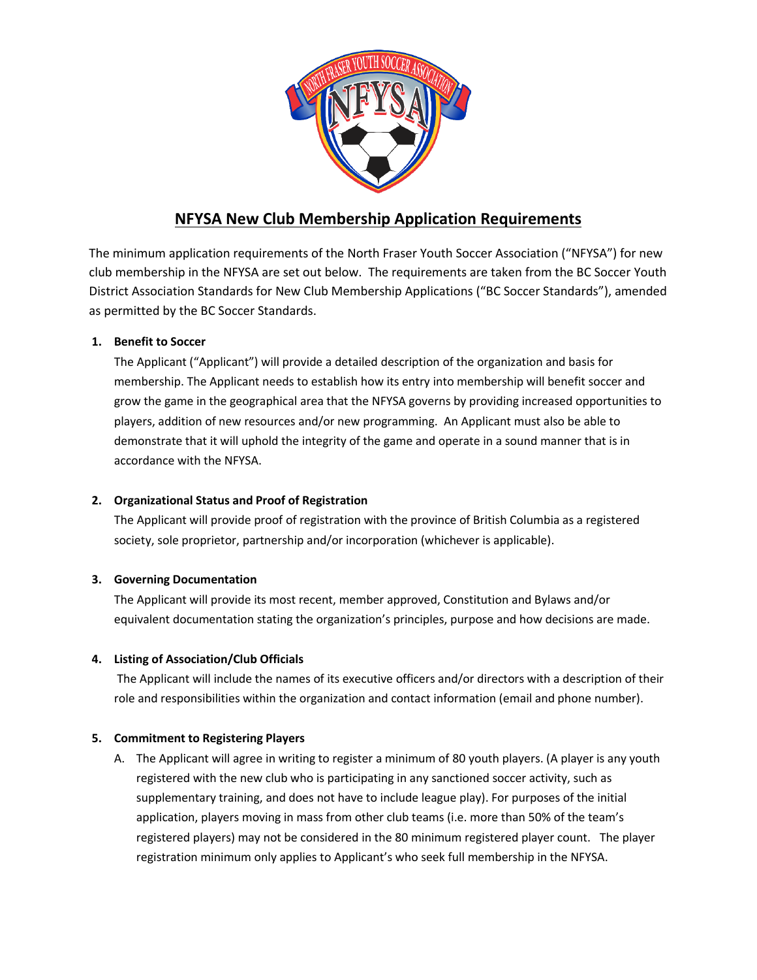

# **NFYSA New Club Membership Application Requirements**

The minimum application requirements of the North Fraser Youth Soccer Association ("NFYSA") for new club membership in the NFYSA are set out below. The requirements are taken from the BC Soccer Youth District Association Standards for New Club Membership Applications ("BC Soccer Standards"), amended as permitted by the BC Soccer Standards.

## **1. Benefit to Soccer**

The Applicant ("Applicant") will provide a detailed description of the organization and basis for membership. The Applicant needs to establish how its entry into membership will benefit soccer and grow the game in the geographical area that the NFYSA governs by providing increased opportunities to players, addition of new resources and/or new programming. An Applicant must also be able to demonstrate that it will uphold the integrity of the game and operate in a sound manner that is in accordance with the NFYSA.

## **2. Organizational Status and Proof of Registration**

The Applicant will provide proof of registration with the province of British Columbia as a registered society, sole proprietor, partnership and/or incorporation (whichever is applicable).

## **3. Governing Documentation**

The Applicant will provide its most recent, member approved, Constitution and Bylaws and/or equivalent documentation stating the organization's principles, purpose and how decisions are made.

## **4. Listing of Association/Club Officials**

The Applicant will include the names of its executive officers and/or directors with a description of their role and responsibilities within the organization and contact information (email and phone number).

#### **5. Commitment to Registering Players**

A. The Applicant will agree in writing to register a minimum of 80 youth players. (A player is any youth registered with the new club who is participating in any sanctioned soccer activity, such as supplementary training, and does not have to include league play). For purposes of the initial application, players moving in mass from other club teams (i.e. more than 50% of the team's registered players) may not be considered in the 80 minimum registered player count. The player registration minimum only applies to Applicant's who seek full membership in the NFYSA.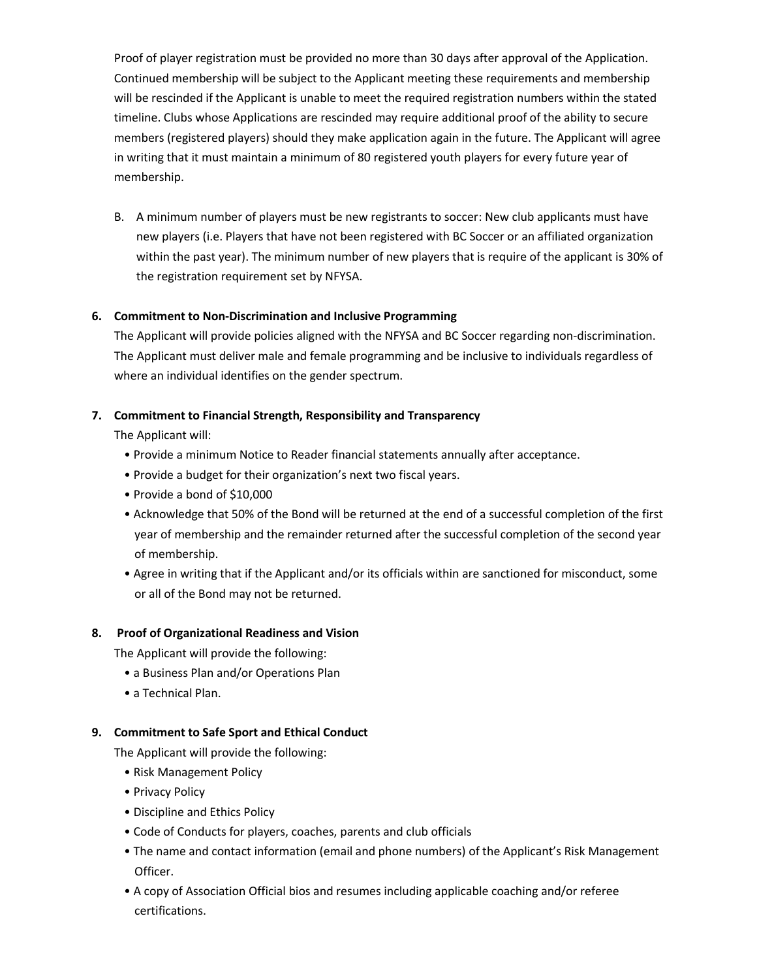Proof of player registration must be provided no more than 30 days after approval of the Application. Continued membership will be subject to the Applicant meeting these requirements and membership will be rescinded if the Applicant is unable to meet the required registration numbers within the stated timeline. Clubs whose Applications are rescinded may require additional proof of the ability to secure members (registered players) should they make application again in the future. The Applicant will agree in writing that it must maintain a minimum of 80 registered youth players for every future year of membership.

B. A minimum number of players must be new registrants to soccer: New club applicants must have new players (i.e. Players that have not been registered with BC Soccer or an affiliated organization within the past year). The minimum number of new players that is require of the applicant is 30% of the registration requirement set by NFYSA.

#### **6. Commitment to Non-Discrimination and Inclusive Programming**

The Applicant will provide policies aligned with the NFYSA and BC Soccer regarding non-discrimination. The Applicant must deliver male and female programming and be inclusive to individuals regardless of where an individual identifies on the gender spectrum.

#### **7. Commitment to Financial Strength, Responsibility and Transparency**

The Applicant will:

- Provide a minimum Notice to Reader financial statements annually after acceptance.
- Provide a budget for their organization's next two fiscal years.
- Provide a bond of \$10,000
- Acknowledge that 50% of the Bond will be returned at the end of a successful completion of the first year of membership and the remainder returned after the successful completion of the second year of membership.
- Agree in writing that if the Applicant and/or its officials within are sanctioned for misconduct, some or all of the Bond may not be returned.

#### **8. Proof of Organizational Readiness and Vision**

The Applicant will provide the following:

- a Business Plan and/or Operations Plan
- a Technical Plan.

#### **9. Commitment to Safe Sport and Ethical Conduct**

The Applicant will provide the following:

- Risk Management Policy
- Privacy Policy
- Discipline and Ethics Policy
- Code of Conducts for players, coaches, parents and club officials
- The name and contact information (email and phone numbers) of the Applicant's Risk Management Officer.
- A copy of Association Official bios and resumes including applicable coaching and/or referee certifications.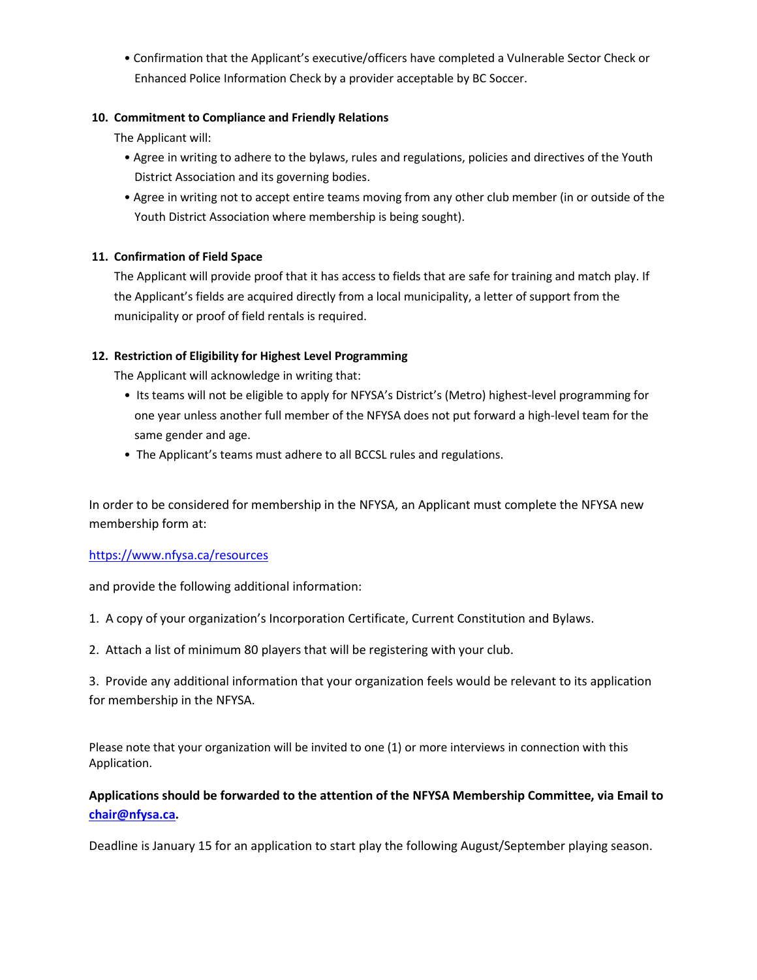• Confirmation that the Applicant's executive/officers have completed a Vulnerable Sector Check or Enhanced Police Information Check by a provider acceptable by BC Soccer.

## **10. Commitment to Compliance and Friendly Relations**

The Applicant will:

- Agree in writing to adhere to the bylaws, rules and regulations, policies and directives of the Youth District Association and its governing bodies.
- Agree in writing not to accept entire teams moving from any other club member (in or outside of the Youth District Association where membership is being sought).

## **11. Confirmation of Field Space**

The Applicant will provide proof that it has access to fields that are safe for training and match play. If the Applicant's fields are acquired directly from a local municipality, a letter of support from the municipality or proof of field rentals is required.

## **12. Restriction of Eligibility for Highest Level Programming**

The Applicant will acknowledge in writing that:

- Its teams will not be eligible to apply for NFYSA's District's (Metro) highest-level programming for one year unless another full member of the NFYSA does not put forward a high-level team for the same gender and age.
- The Applicant's teams must adhere to all BCCSL rules and regulations.

In order to be considered for membership in the NFYSA, an Applicant must complete the NFYSA new membership form at:

#### <https://www.nfysa.ca/resources>

and provide the following additional information:

- 1. A copy of your organization's Incorporation Certificate, Current Constitution and Bylaws.
- 2. Attach a list of minimum 80 players that will be registering with your club.

3. Provide any additional information that your organization feels would be relevant to its application for membership in the NFYSA.

Please note that your organization will be invited to one (1) or more interviews in connection with this Application.

# **Applications should be forwarded to the attention of the NFYSA Membership Committee, via Email to [chair@nfysa.ca.](mailto:chair@nfysa.ca)**

Deadline is January 15 for an application to start play the following August/September playing season.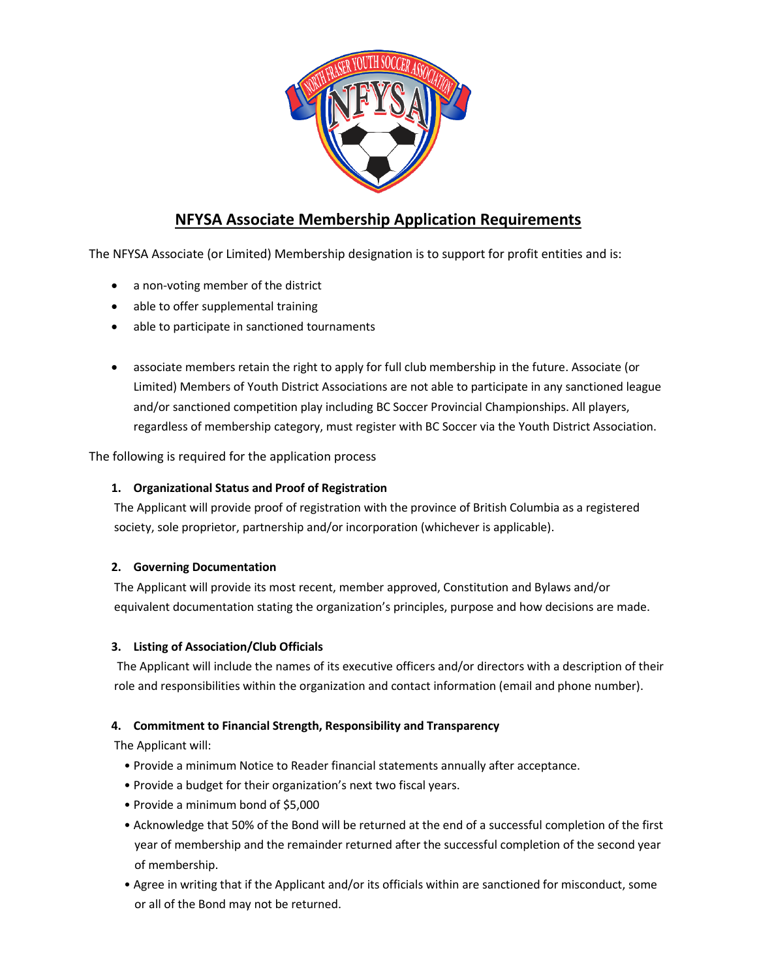

# **NFYSA Associate Membership Application Requirements**

The NFYSA Associate (or Limited) Membership designation is to support for profit entities and is:

- a non-voting member of the district
- able to offer supplemental training
- able to participate in sanctioned tournaments
- associate members retain the right to apply for full club membership in the future. Associate (or Limited) Members of Youth District Associations are not able to participate in any sanctioned league and/or sanctioned competition play including BC Soccer Provincial Championships. All players, regardless of membership category, must register with BC Soccer via the Youth District Association.

The following is required for the application process

#### **1. Organizational Status and Proof of Registration**

The Applicant will provide proof of registration with the province of British Columbia as a registered society, sole proprietor, partnership and/or incorporation (whichever is applicable).

#### **2. Governing Documentation**

The Applicant will provide its most recent, member approved, Constitution and Bylaws and/or equivalent documentation stating the organization's principles, purpose and how decisions are made.

#### **3. Listing of Association/Club Officials**

The Applicant will include the names of its executive officers and/or directors with a description of their role and responsibilities within the organization and contact information (email and phone number).

#### **4. Commitment to Financial Strength, Responsibility and Transparency**

The Applicant will:

- Provide a minimum Notice to Reader financial statements annually after acceptance.
- Provide a budget for their organization's next two fiscal years.
- Provide a minimum bond of \$5,000
- Acknowledge that 50% of the Bond will be returned at the end of a successful completion of the first year of membership and the remainder returned after the successful completion of the second year of membership.
- Agree in writing that if the Applicant and/or its officials within are sanctioned for misconduct, some or all of the Bond may not be returned.